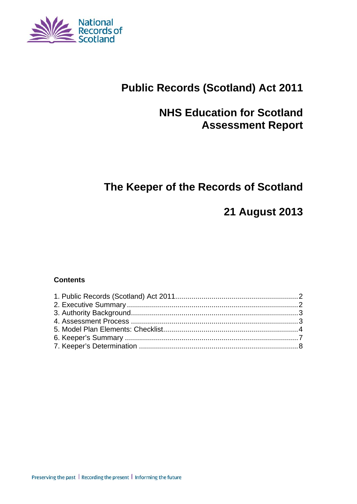

# **Public Records (Scotland) Act 2011**

# **NHS Education for Scotland Assessment Report**

# **The Keeper of the Records of Scotland**

# **21 August 2013**

#### **Contents**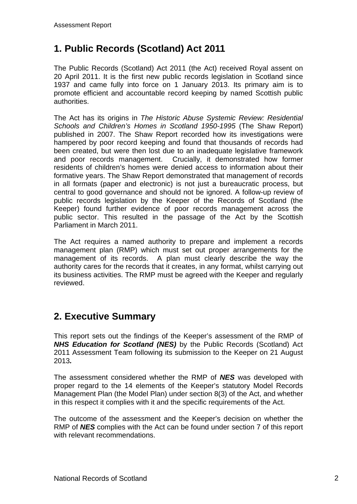## **1. Public Records (Scotland) Act 2011**

The Public Records (Scotland) Act 2011 (the Act) received Royal assent on 20 April 2011. It is the first new public records legislation in Scotland since 1937 and came fully into force on 1 January 2013. Its primary aim is to promote efficient and accountable record keeping by named Scottish public authorities.

The Act has its origins in *The Historic Abuse Systemic Review: Residential Schools and Children's Homes in Scotland 1950-1995* (The Shaw Report) published in 2007. The Shaw Report recorded how its investigations were hampered by poor record keeping and found that thousands of records had been created, but were then lost due to an inadequate legislative framework and poor records management. Crucially, it demonstrated how former residents of children's homes were denied access to information about their formative years. The Shaw Report demonstrated that management of records in all formats (paper and electronic) is not just a bureaucratic process, but central to good governance and should not be ignored. A follow-up review of public records legislation by the Keeper of the Records of Scotland (the Keeper) found further evidence of poor records management across the public sector. This resulted in the passage of the Act by the Scottish Parliament in March 2011.

The Act requires a named authority to prepare and implement a records management plan (RMP) which must set out proper arrangements for the management of its records. A plan must clearly describe the way the authority cares for the records that it creates, in any format, whilst carrying out its business activities. The RMP must be agreed with the Keeper and regularly reviewed.

### **2. Executive Summary**

This report sets out the findings of the Keeper's assessment of the RMP of *NHS Education for Scotland (NES)* by the Public Records (Scotland) Act 2011 Assessment Team following its submission to the Keeper on 21 August 2013*.*

The assessment considered whether the RMP of *NES* was developed with proper regard to the 14 elements of the Keeper's statutory Model Records Management Plan (the Model Plan) under section 8(3) of the Act, and whether in this respect it complies with it and the specific requirements of the Act.

The outcome of the assessment and the Keeper's decision on whether the RMP of *NES* complies with the Act can be found under section 7 of this report with relevant recommendations.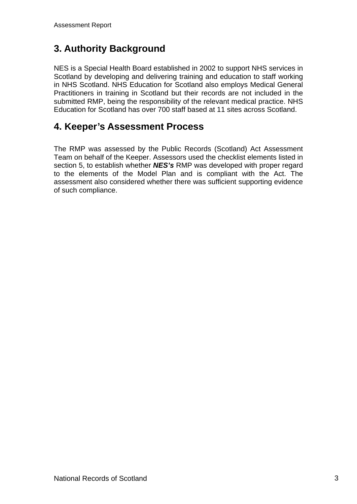# **3. Authority Background**

NES is a Special Health Board established in 2002 to support NHS services in Scotland by developing and delivering training and education to staff working in NHS Scotland. NHS Education for Scotland also employs Medical General Practitioners in training in Scotland but their records are not included in the submitted RMP, being the responsibility of the relevant medical practice. NHS Education for Scotland has over 700 staff based at 11 sites across Scotland.

#### **4. Keeper's Assessment Process**

The RMP was assessed by the Public Records (Scotland) Act Assessment Team on behalf of the Keeper. Assessors used the checklist elements listed in section 5, to establish whether *NES's* RMP was developed with proper regard to the elements of the Model Plan and is compliant with the Act. The assessment also considered whether there was sufficient supporting evidence of such compliance.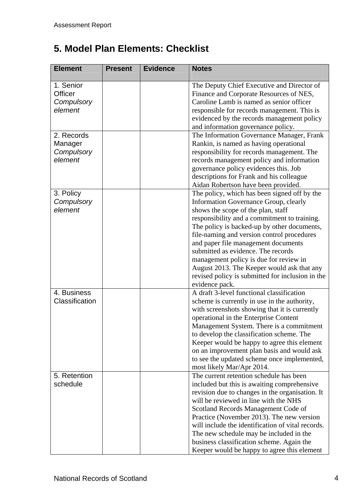# **5. Model Plan Elements: Checklist**

| <b>Element</b>                                       | <b>Present</b> | <b>Evidence</b> | <b>Notes</b>                                                                                                                                                                                                                                                                                                                                                                                                                                                                                                        |
|------------------------------------------------------|----------------|-----------------|---------------------------------------------------------------------------------------------------------------------------------------------------------------------------------------------------------------------------------------------------------------------------------------------------------------------------------------------------------------------------------------------------------------------------------------------------------------------------------------------------------------------|
| 1. Senior<br><b>Officer</b><br>Compulsory<br>element |                |                 | The Deputy Chief Executive and Director of<br>Finance and Corporate Resources of NES,<br>Caroline Lamb is named as senior officer<br>responsible for records management. This is<br>evidenced by the records management policy<br>and information governance policy.                                                                                                                                                                                                                                                |
| 2. Records<br>Manager<br>Compulsory<br>element       |                |                 | The Information Governance Manager, Frank<br>Rankin, is named as having operational<br>responsibility for records management. The<br>records management policy and information<br>governance policy evidences this. Job<br>descriptions for Frank and his colleague<br>Aidan Robertson have been provided.                                                                                                                                                                                                          |
| 3. Policy<br>Compulsory<br>element                   |                |                 | The policy, which has been signed off by the<br>Information Governance Group, clearly<br>shows the scope of the plan, staff<br>responsibility and a commitment to training.<br>The policy is backed-up by other documents,<br>file-naming and version control procedures<br>and paper file management documents<br>submitted as evidence. The records<br>management policy is due for review in<br>August 2013. The Keeper would ask that any<br>revised policy is submitted for inclusion in the<br>evidence pack. |
| 4. Business<br>Classification                        |                |                 | A draft 3-level functional classification<br>scheme is currently in use in the authority,<br>with screenshots showing that it is currently<br>operational in the Enterprise Content<br>Management System. There is a commitment<br>to develop the classification scheme. The<br>Keeper would be happy to agree this element<br>on an improvement plan basis and would ask<br>to see the updated scheme once implemented,<br>most likely Mar/Apr 2014.                                                               |
| 5. Retention<br>schedule                             |                |                 | The current retention schedule has been<br>included but this is awaiting comprehensive<br>revision due to changes in the organisation. It<br>will be reviewed in line with the NHS<br>Scotland Records Management Code of<br>Practice (November 2013). The new version<br>will include the identification of vital records.<br>The new schedule may be included in the<br>business classification scheme. Again the<br>Keeper would be happy to agree this element                                                  |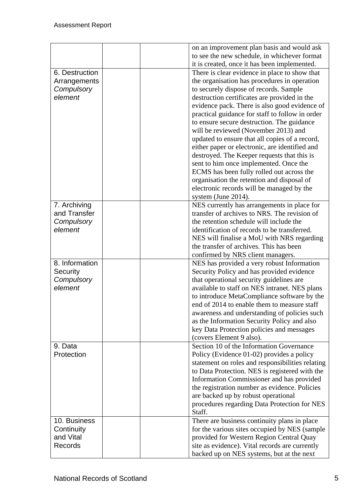|                | on an improvement plan basis and would ask       |
|----------------|--------------------------------------------------|
|                | to see the new schedule, in whichever format     |
|                | it is created, once it has been implemented.     |
| 6. Destruction | There is clear evidence in place to show that    |
| Arrangements   | the organisation has procedures in operation     |
| Compulsory     | to securely dispose of records. Sample           |
| element        | destruction certificates are provided in the     |
|                | evidence pack. There is also good evidence of    |
|                | practical guidance for staff to follow in order  |
|                | to ensure secure destruction. The guidance       |
|                | will be reviewed (November 2013) and             |
|                | updated to ensure that all copies of a record,   |
|                | either paper or electronic, are identified and   |
|                | destroyed. The Keeper requests that this is      |
|                | sent to him once implemented. Once the           |
|                | ECMS has been fully rolled out across the        |
|                | organisation the retention and disposal of       |
|                | electronic records will be managed by the        |
|                | system (June 2014).                              |
| 7. Archiving   | NES currently has arrangements in place for      |
| and Transfer   | transfer of archives to NRS. The revision of     |
| Compulsory     | the retention schedule will include the          |
| element        | identification of records to be transferred.     |
|                | NES will finalise a MoU with NRS regarding       |
|                | the transfer of archives. This has been          |
|                | confirmed by NRS client managers.                |
| 8. Information | NES has provided a very robust Information       |
| Security       | Security Policy and has provided evidence        |
| Compulsory     | that operational security guidelines are         |
| element        | available to staff on NES intranet. NES plans    |
|                | to introduce MetaCompliance software by the      |
|                | end of 2014 to enable them to measure staff      |
|                | awareness and understanding of policies such     |
|                | as the Information Security Policy and also      |
|                | key Data Protection policies and messages        |
|                | (covers Element 9 also).                         |
| 9. Data        | Section 10 of the Information Governance         |
| Protection     | Policy (Evidence 01-02) provides a policy        |
|                |                                                  |
|                | statement on roles and responsibilities relating |
|                | to Data Protection. NES is registered with the   |
|                | Information Commissioner and has provided        |
|                | the registration number as evidence. Policies    |
|                | are backed up by robust operational              |
|                | procedures regarding Data Protection for NES     |
|                | Staff.                                           |
| 10. Business   | There are business continuity plans in place     |
| Continuity     | for the various sites occupied by NES (sample    |
| and Vital      | provided for Western Region Central Quay         |
| Records        | site as evidence). Vital records are currently   |
|                | backed up on NES systems, but at the next        |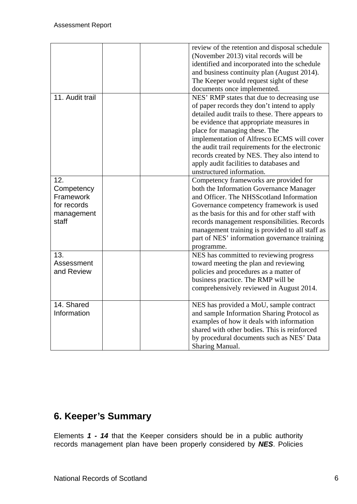|                 | review of the retention and disposal schedule    |
|-----------------|--------------------------------------------------|
|                 | (November 2013) vital records will be            |
|                 | identified and incorporated into the schedule    |
|                 | and business continuity plan (August 2014).      |
|                 | The Keeper would request sight of these          |
|                 |                                                  |
| 11. Audit trail | documents once implemented.                      |
|                 | NES' RMP states that due to decreasing use       |
|                 | of paper records they don't intend to apply      |
|                 | detailed audit trails to these. There appears to |
|                 | be evidence that appropriate measures in         |
|                 | place for managing these. The                    |
|                 | implementation of Alfresco ECMS will cover       |
|                 | the audit trail requirements for the electronic  |
|                 | records created by NES. They also intend to      |
|                 | apply audit facilities to databases and          |
|                 | unstructured information.                        |
| 12.             | Competency frameworks are provided for           |
| Competency      | both the Information Governance Manager          |
| Framework       | and Officer. The NHSScotland Information         |
| for records     | Governance competency framework is used          |
| management      | as the basis for this and for other staff with   |
| staff           | records management responsibilities. Records     |
|                 | management training is provided to all staff as  |
|                 | part of NES' information governance training     |
|                 | programme.                                       |
| 13.             | NES has committed to reviewing progress          |
| Assessment      | toward meeting the plan and reviewing            |
| and Review      | policies and procedures as a matter of           |
|                 | business practice. The RMP will be               |
|                 | comprehensively reviewed in August 2014.         |
|                 |                                                  |
| 14. Shared      | NES has provided a MoU, sample contract          |
| Information     | and sample Information Sharing Protocol as       |
|                 | examples of how it deals with information        |
|                 | shared with other bodies. This is reinforced     |
|                 |                                                  |
|                 | by procedural documents such as NES' Data        |
|                 | Sharing Manual.                                  |

## **6. Keeper's Summary**

Elements *1 - 14* that the Keeper considers should be in a public authority records management plan have been properly considered by *NES*. Policies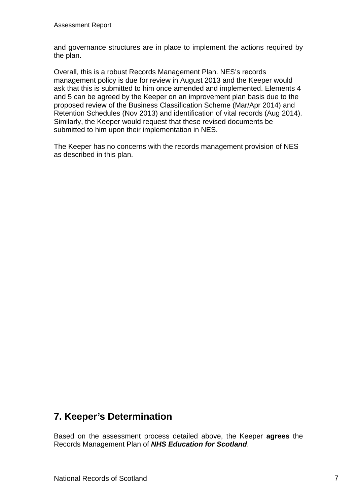and governance structures are in place to implement the actions required by the plan.

Overall, this is a robust Records Management Plan. NES's records management policy is due for review in August 2013 and the Keeper would ask that this is submitted to him once amended and implemented. Elements 4 and 5 can be agreed by the Keeper on an improvement plan basis due to the proposed review of the Business Classification Scheme (Mar/Apr 2014) and Retention Schedules (Nov 2013) and identification of vital records (Aug 2014). Similarly, the Keeper would request that these revised documents be submitted to him upon their implementation in NES.

The Keeper has no concerns with the records management provision of NES as described in this plan.

### **7. Keeper's Determination**

Based on the assessment process detailed above, the Keeper **agrees** the Records Management Plan of *NHS Education for Scotland*.